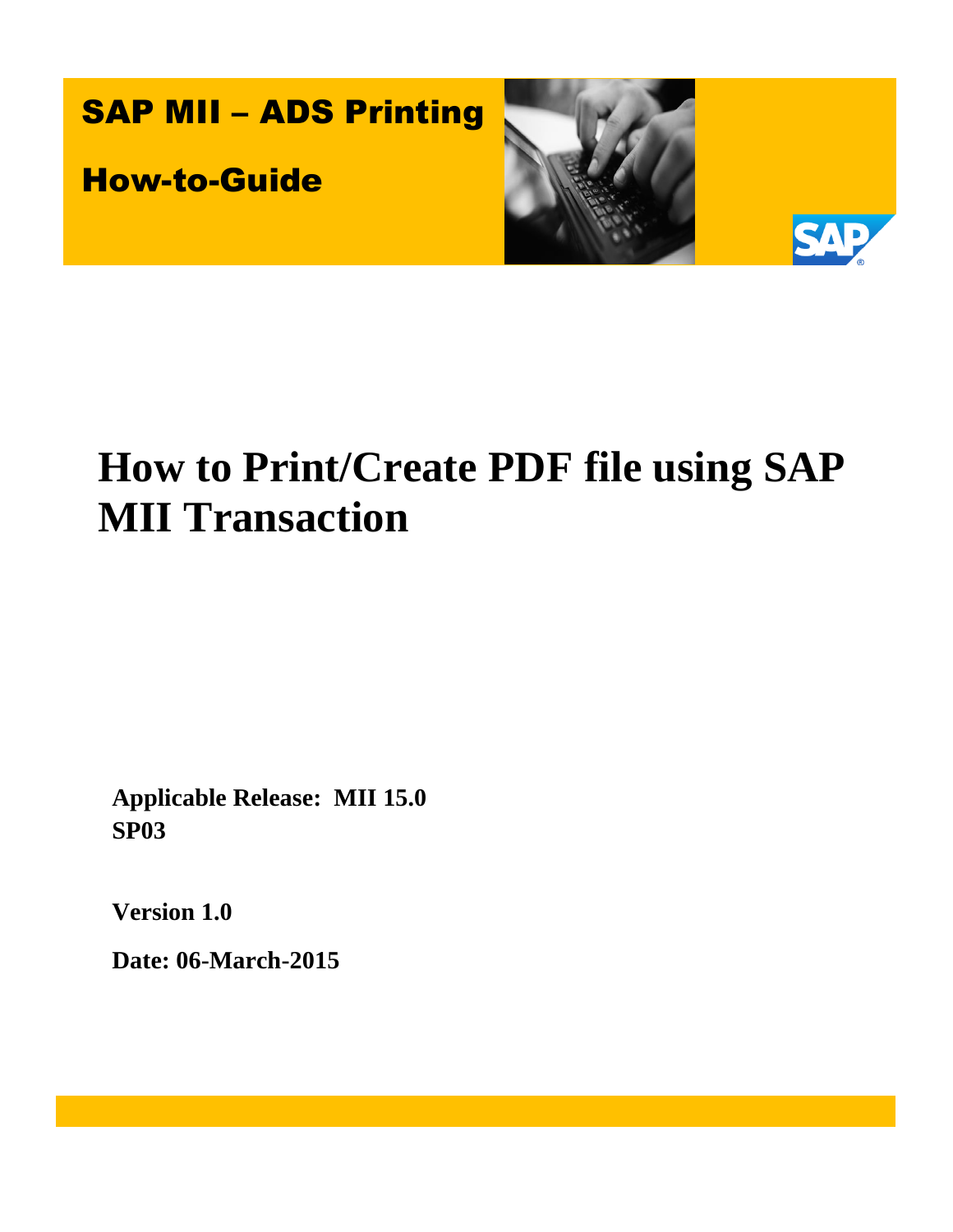

# **How to Print/Create PDF file using SAP MII Transaction**

**Applicable Release: MII 15.0 SP03**

**Version 1.0**

**Date: 06-March-2015**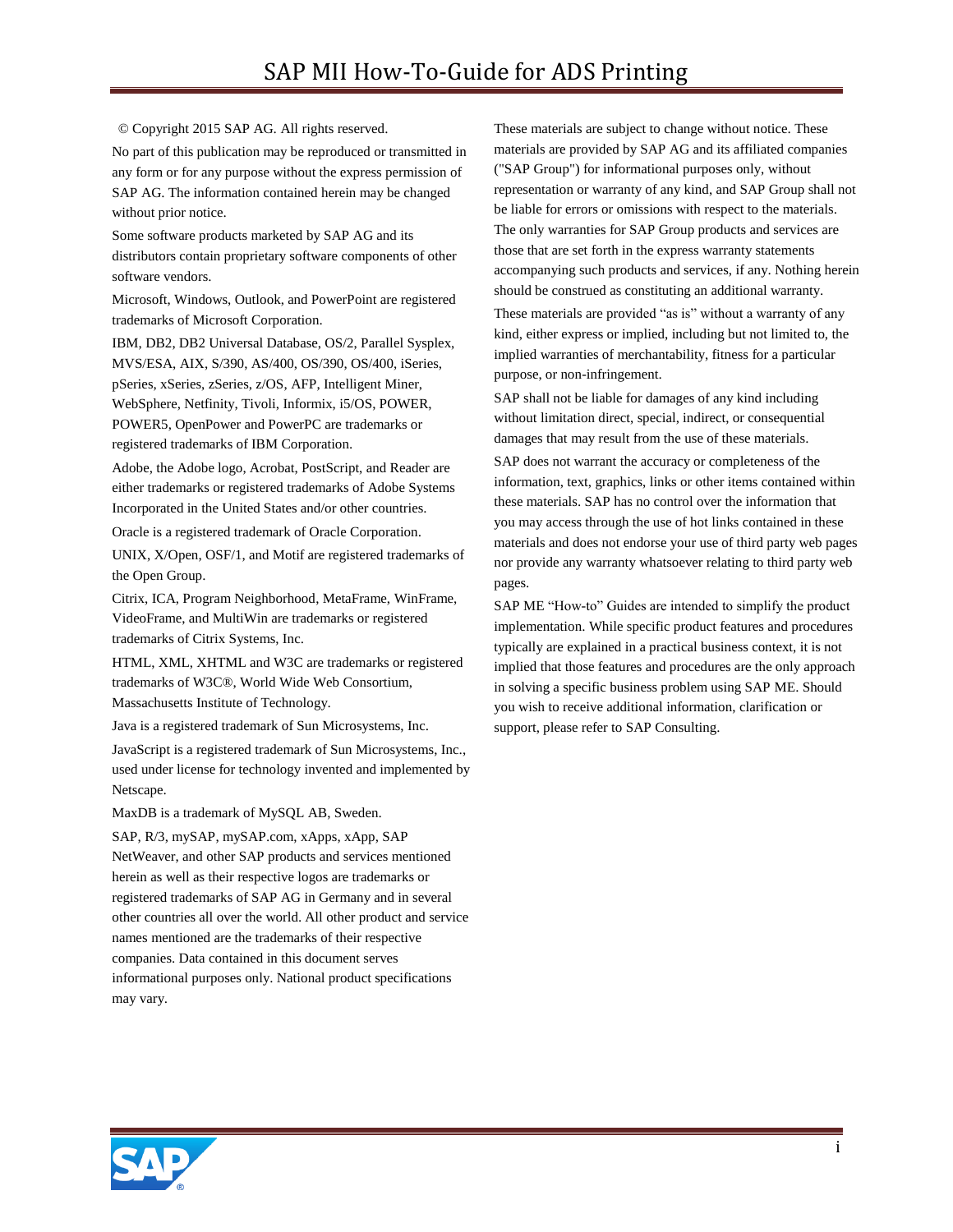© Copyright 2015 SAP AG. All rights reserved.

No part of this publication may be reproduced or transmitted in any form or for any purpose without the express permission of SAP AG. The information contained herein may be changed without prior notice.

Some software products marketed by SAP AG and its distributors contain proprietary software components of other software vendors.

Microsoft, Windows, Outlook, and PowerPoint are registered trademarks of Microsoft Corporation.

IBM, DB2, DB2 Universal Database, OS/2, Parallel Sysplex, MVS/ESA, AIX, S/390, AS/400, OS/390, OS/400, iSeries, pSeries, xSeries, zSeries, z/OS, AFP, Intelligent Miner, WebSphere, Netfinity, Tivoli, Informix, i5/OS, POWER, POWER5, OpenPower and PowerPC are trademarks or registered trademarks of IBM Corporation.

Adobe, the Adobe logo, Acrobat, PostScript, and Reader are either trademarks or registered trademarks of Adobe Systems Incorporated in the United States and/or other countries.

Oracle is a registered trademark of Oracle Corporation.

UNIX, X/Open, OSF/1, and Motif are registered trademarks of the Open Group.

Citrix, ICA, Program Neighborhood, MetaFrame, WinFrame, VideoFrame, and MultiWin are trademarks or registered trademarks of Citrix Systems, Inc.

HTML, XML, XHTML and W3C are trademarks or registered trademarks of W3C®, World Wide Web Consortium, Massachusetts Institute of Technology.

Java is a registered trademark of Sun Microsystems, Inc.

JavaScript is a registered trademark of Sun Microsystems, Inc., used under license for technology invented and implemented by Netscape.

MaxDB is a trademark of MySQL AB, Sweden.

SAP, R/3, mySAP, mySAP.com, xApps, xApp, SAP NetWeaver, and other SAP products and services mentioned herein as well as their respective logos are trademarks or registered trademarks of SAP AG in Germany and in several other countries all over the world. All other product and service names mentioned are the trademarks of their respective companies. Data contained in this document serves informational purposes only. National product specifications may vary.

These materials are subject to change without notice. These materials are provided by SAP AG and its affiliated companies ("SAP Group") for informational purposes only, without representation or warranty of any kind, and SAP Group shall not be liable for errors or omissions with respect to the materials. The only warranties for SAP Group products and services are those that are set forth in the express warranty statements accompanying such products and services, if any. Nothing herein should be construed as constituting an additional warranty.

These materials are provided "as is" without a warranty of any kind, either express or implied, including but not limited to, the implied warranties of merchantability, fitness for a particular purpose, or non-infringement.

SAP shall not be liable for damages of any kind including without limitation direct, special, indirect, or consequential damages that may result from the use of these materials.

SAP does not warrant the accuracy or completeness of the information, text, graphics, links or other items contained within these materials. SAP has no control over the information that you may access through the use of hot links contained in these materials and does not endorse your use of third party web pages nor provide any warranty whatsoever relating to third party web pages.

SAP ME "How-to" Guides are intended to simplify the product implementation. While specific product features and procedures typically are explained in a practical business context, it is not implied that those features and procedures are the only approach in solving a specific business problem using SAP ME. Should you wish to receive additional information, clarification or support, please refer to SAP Consulting.

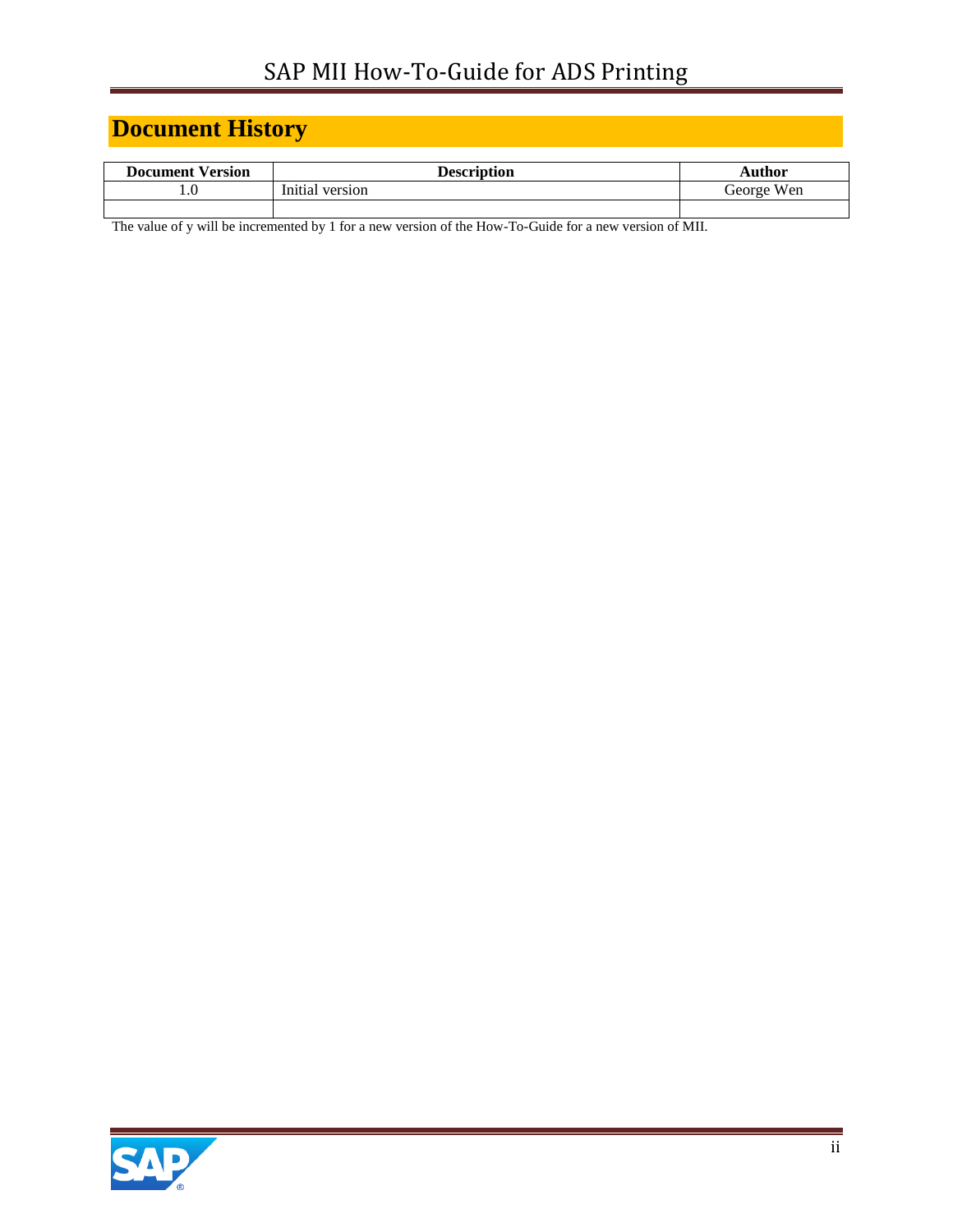# **Document History**

| <b>Document Version</b> | Description     | Author     |
|-------------------------|-----------------|------------|
| IJ.U                    | Initial version | George Wen |
|                         |                 |            |

The value of y will be incremented by 1 for a new version of the How-To-Guide for a new version of MII.

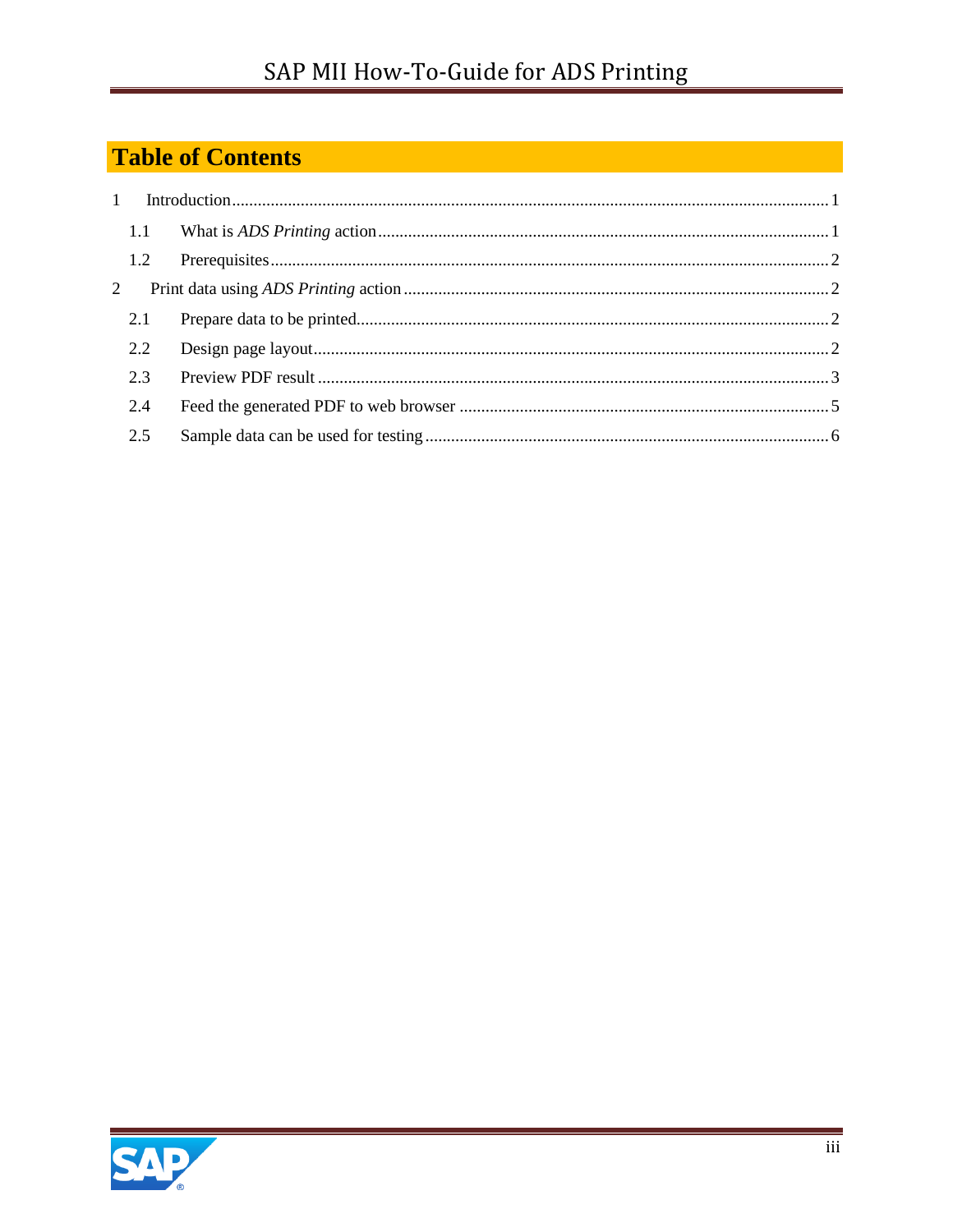## **Table of Contents**

|                | 1.1 |  |  |  |  |
|----------------|-----|--|--|--|--|
|                | 1.2 |  |  |  |  |
| $\overline{2}$ |     |  |  |  |  |
|                | 2.1 |  |  |  |  |
|                | 2.2 |  |  |  |  |
|                | 2.3 |  |  |  |  |
|                | 2.4 |  |  |  |  |
|                | 2.5 |  |  |  |  |

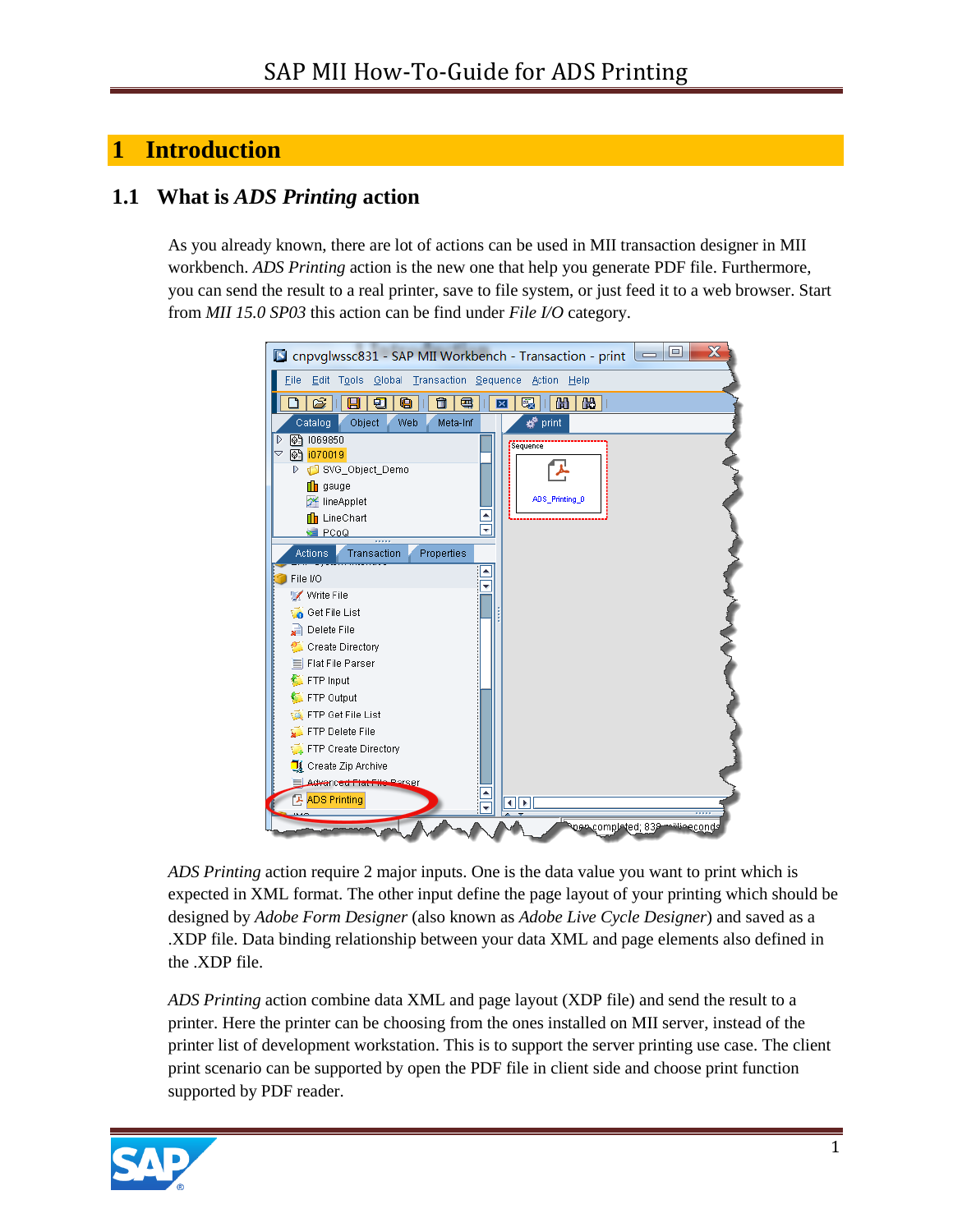## <span id="page-4-0"></span>**1 Introduction**

### <span id="page-4-1"></span>**1.1 What is** *ADS Printing* **action**

As you already known, there are lot of actions can be used in MII transaction designer in MII workbench. *ADS Printing* action is the new one that help you generate PDF file. Furthermore, you can send the result to a real printer, save to file system, or just feed it to a web browser. Start from *MII 15.0 SP03* this action can be find under *File I/O* category.



*ADS Printing* action require 2 major inputs. One is the data value you want to print which is expected in XML format. The other input define the page layout of your printing which should be designed by *Adobe Form Designer* (also known as *Adobe Live Cycle Designer*) and saved as a .XDP file. Data binding relationship between your data XML and page elements also defined in the .XDP file.

*ADS Printing* action combine data XML and page layout (XDP file) and send the result to a printer. Here the printer can be choosing from the ones installed on MII server, instead of the printer list of development workstation. This is to support the server printing use case. The client print scenario can be supported by open the PDF file in client side and choose print function supported by PDF reader.

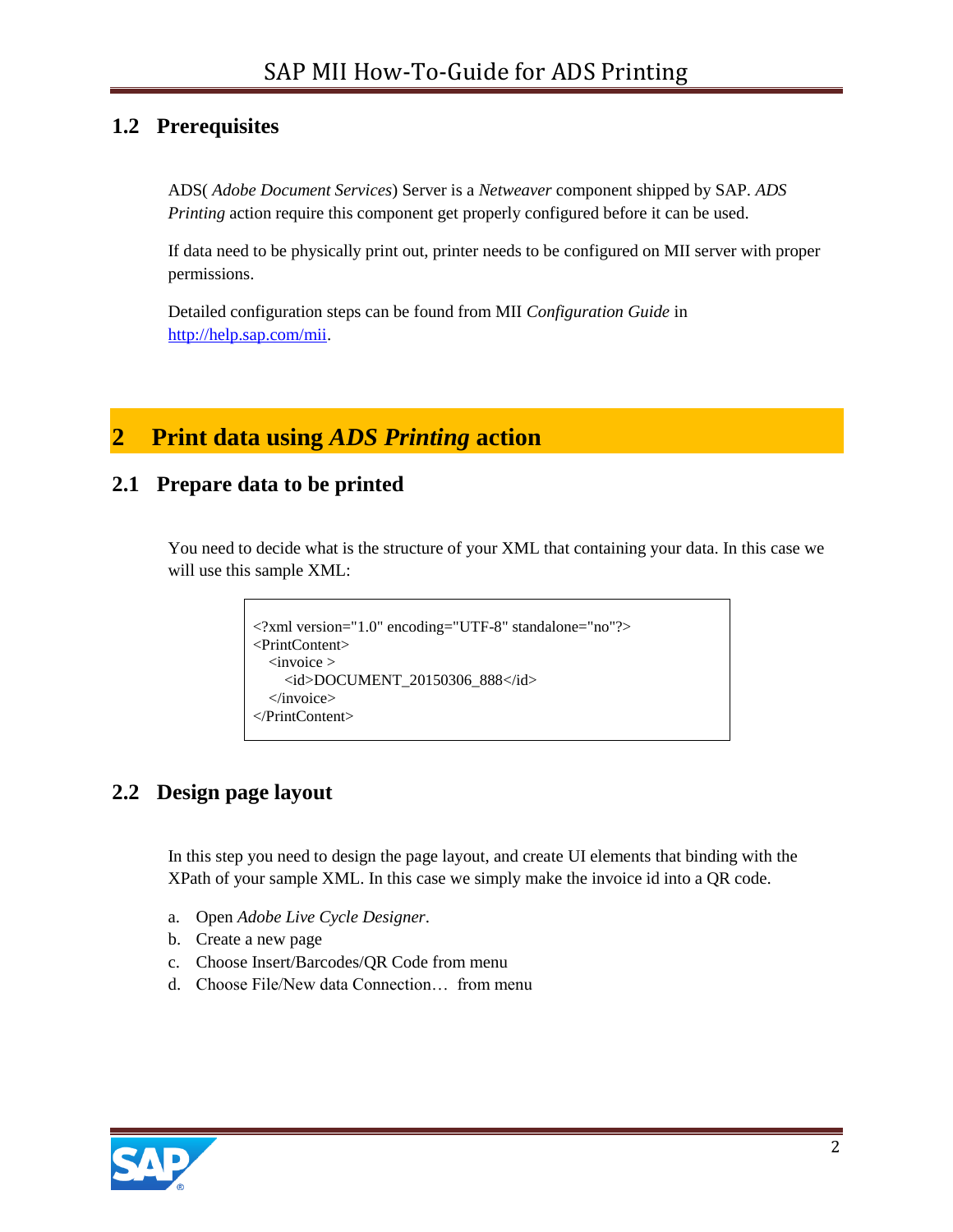## <span id="page-5-0"></span>**1.2 Prerequisites**

ADS( *Adobe Document Services*) Server is a *Netweaver* component shipped by SAP. *ADS Printing* action require this component get properly configured before it can be used.

If data need to be physically print out, printer needs to be configured on MII server with proper permissions.

Detailed configuration steps can be found from MII *Configuration Guide* in [http://help.sap.com/mii.](http://help.sap.com/mii)

## <span id="page-5-1"></span>**2 Print data using** *ADS Printing* **action**

### <span id="page-5-2"></span>**2.1 Prepare data to be printed**

You need to decide what is the structure of your XML that containing your data. In this case we will use this sample XML:

```
<?xml version="1.0" encoding="UTF-8" standalone="no"?>
<PrintContent>
   <invoice >
     <id>DOCUMENT_20150306_888</id>
   </invoice>
</PrintContent>
```
## <span id="page-5-3"></span>**2.2 Design page layout**

In this step you need to design the page layout, and create UI elements that binding with the XPath of your sample XML. In this case we simply make the invoice id into a QR code.

- a. Open *Adobe Live Cycle Designer*.
- b. Create a new page
- c. Choose Insert/Barcodes/QR Code from menu
- d. Choose File/New data Connection… from menu

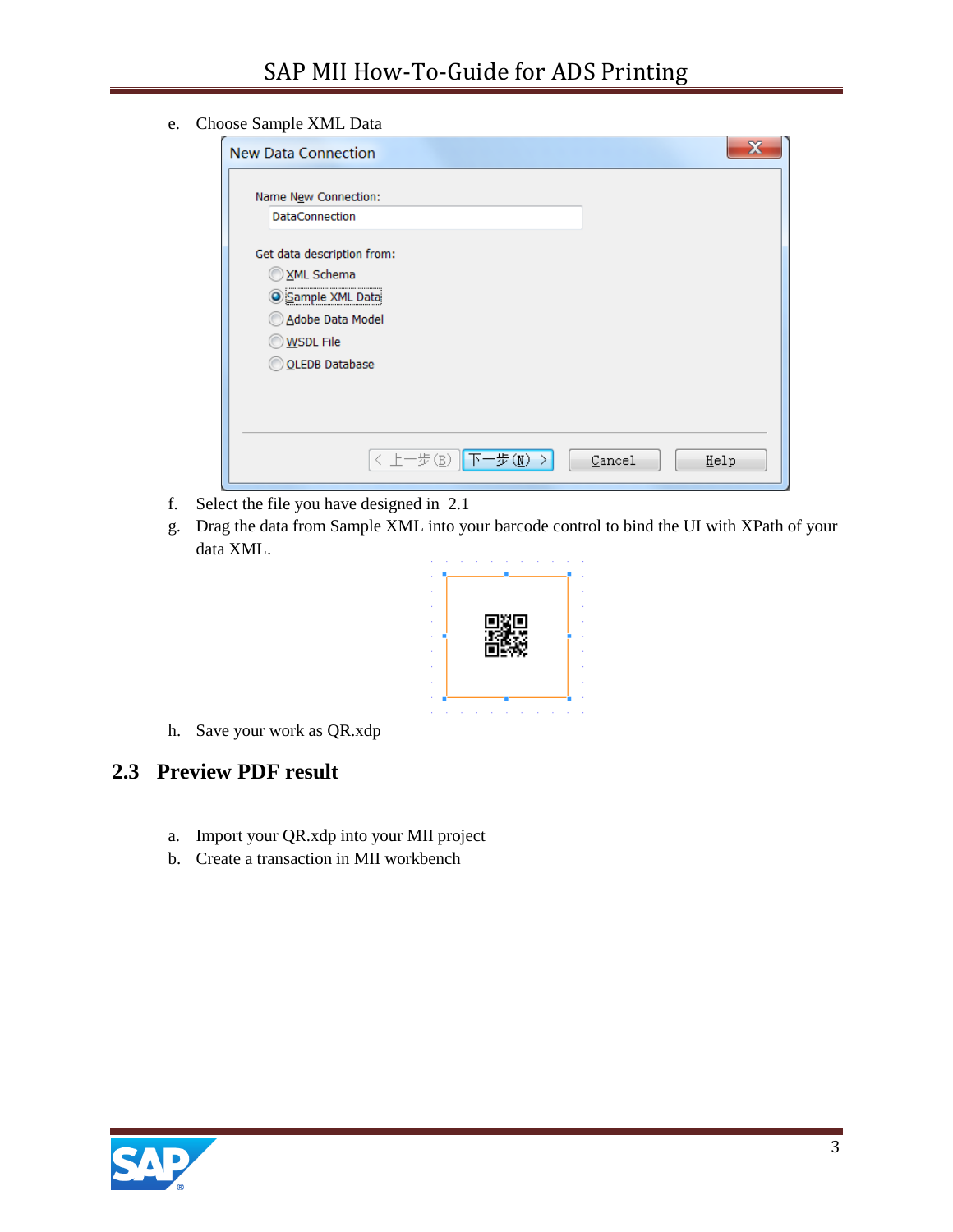e. Choose Sample XML Data

| х<br><b>New Data Connection</b>                                                                                              |
|------------------------------------------------------------------------------------------------------------------------------|
| Name New Connection:<br><b>DataConnection</b>                                                                                |
| Get data description from:<br><b>XML Schema</b><br>Sample XML Data<br>Adobe Data Model<br><b>WSDL File</b><br>OLEDB Database |
| 〈 上一步(B) 下一步(N) ><br>Cancel<br>Help                                                                                          |

- f. Select the file you have designed in 2.1
- g. Drag the data from Sample XML into your barcode control to bind the UI with XPath of your data XML.



h. Save your work as QR.xdp

## <span id="page-6-0"></span>**2.3 Preview PDF result**

- a. Import your QR.xdp into your MII project
- b. Create a transaction in MII workbench

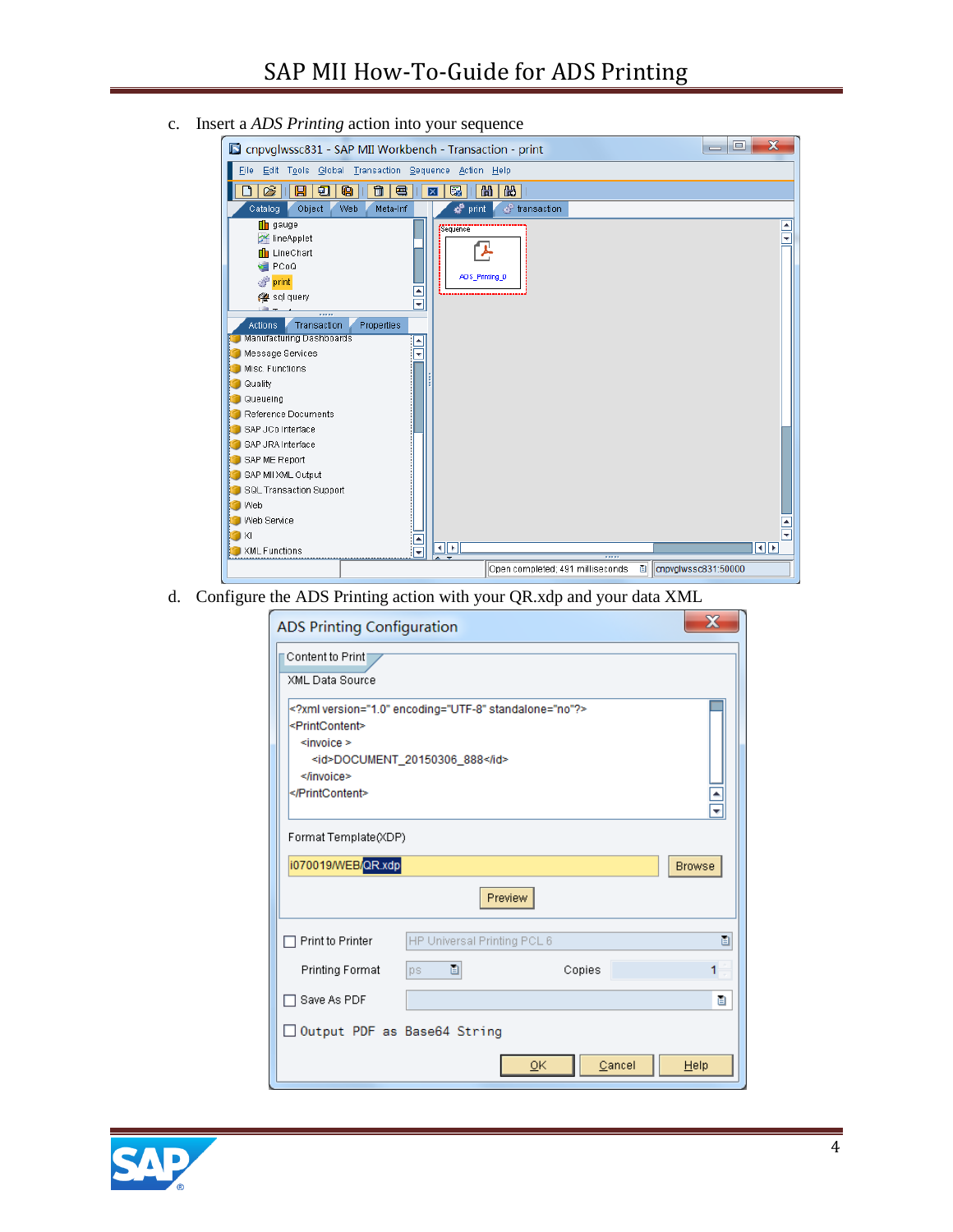c. Insert a *ADS Printing* action into your sequence

|                                                                                                                                                                                                                                                                                                                                                                | $\overline{\mathbf{x}}$<br>$\Box$<br>C cnpvglwssc831 - SAP MII Workbench - Transaction - print<br>$\overline{\phantom{0}}$ |                         |  |  |  |  |
|----------------------------------------------------------------------------------------------------------------------------------------------------------------------------------------------------------------------------------------------------------------------------------------------------------------------------------------------------------------|----------------------------------------------------------------------------------------------------------------------------|-------------------------|--|--|--|--|
| Edit Tools Global Transaction Sequence Action Help<br>File                                                                                                                                                                                                                                                                                                     |                                                                                                                            |                         |  |  |  |  |
| 回<br>Ð<br>û<br>粵<br>É<br>$\overline{a}$<br>$\overline{\mathbb{G}_2}$<br>間<br>圖Ⅱ<br>図                                                                                                                                                                                                                                                                           |                                                                                                                            |                         |  |  |  |  |
| Object<br>Catalog                                                                                                                                                                                                                                                                                                                                              | print<br>transaction<br>Web<br>Meta-Inf                                                                                    |                         |  |  |  |  |
| <b>n</b> gauge<br>→ lineApplet<br>LineChart<br>гħ<br>PCoQ<br>÷<br>print<br>resqlquery<br><br><b>Actions</b><br>Transaction<br><b>Manufacturing Dashboards</b><br>Message Services<br>Misc. Functions<br>Quality<br>Queueing<br>Reference Documents<br>SAP JCo Interface<br>SAP JRA Interface<br>SAP ME Report<br>SAP MII XML Output<br>SQL Transaction Support | Sequence<br>یر'<br>ADS_Printing_0<br>$\overline{\mathbf{v}}$<br>Properties<br>$\blacktriangle$                             | ⊫<br>≂                  |  |  |  |  |
| Web                                                                                                                                                                                                                                                                                                                                                            |                                                                                                                            |                         |  |  |  |  |
| Web Service                                                                                                                                                                                                                                                                                                                                                    |                                                                                                                            |                         |  |  |  |  |
| n xi                                                                                                                                                                                                                                                                                                                                                           |                                                                                                                            | $\overline{\mathbf{v}}$ |  |  |  |  |
| XML Functions                                                                                                                                                                                                                                                                                                                                                  | $\blacksquare$<br>ৰা⊵<br>                                                                                                  |                         |  |  |  |  |
|                                                                                                                                                                                                                                                                                                                                                                | 画<br>Open completed; 491 milliseconds<br>cnpvqlwssc831:50000                                                               |                         |  |  |  |  |

d. Configure the ADS Printing action with your QR.xdp and your data XML

| х<br><b>ADS Printing Configuration</b>                                                                                                                                           |   |  |  |  |
|----------------------------------------------------------------------------------------------------------------------------------------------------------------------------------|---|--|--|--|
| ∎Content to Print⊺                                                                                                                                                               |   |  |  |  |
| XML Data Source                                                                                                                                                                  |   |  |  |  |
| xml version="1.0" encoding="UTF-8" standalone="no"?<br><printcontent><br/><math>&lt;</math>invoice <math>&gt;</math><br/><id>DOCUMENT_20150306_888</id><br/><br/></printcontent> |   |  |  |  |
| Format Template(XDP)                                                                                                                                                             |   |  |  |  |
| i070019/WEB/QR.xdp<br><b>Browse</b>                                                                                                                                              |   |  |  |  |
| Preview                                                                                                                                                                          |   |  |  |  |
| Print to Printer<br>HP Universal Printing PCL 6                                                                                                                                  | 画 |  |  |  |
| 囼<br><b>Printing Format</b><br>Copies<br>1<br>DS                                                                                                                                 |   |  |  |  |
| Save As PDF                                                                                                                                                                      | 囼 |  |  |  |
| □ Output PDF as Base64 String                                                                                                                                                    |   |  |  |  |
| Cancel<br>ОK<br>Help                                                                                                                                                             |   |  |  |  |

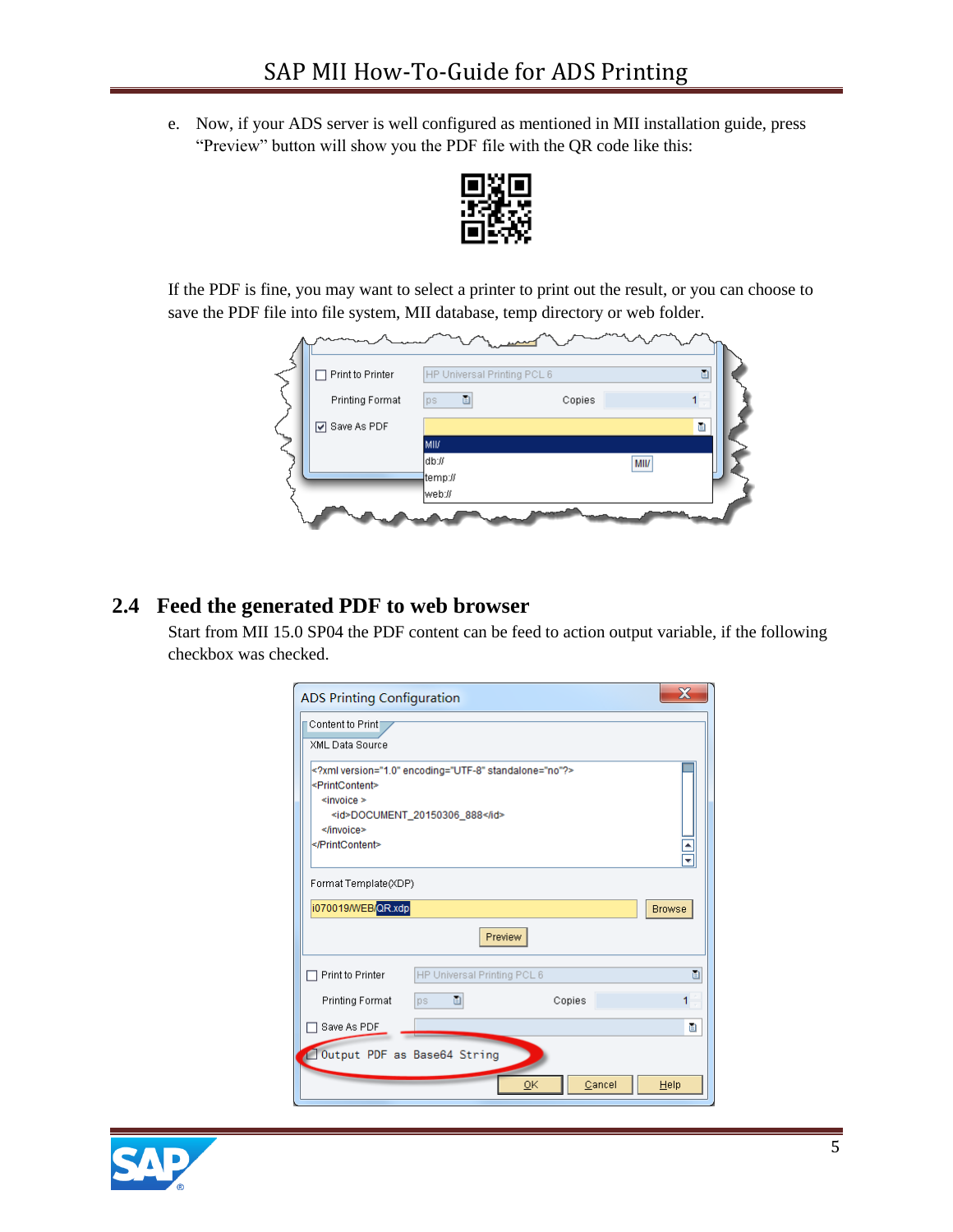e. Now, if your ADS server is well configured as mentioned in MII installation guide, press "Preview" button will show you the PDF file with the QR code like this:



If the PDF is fine, you may want to select a printer to print out the result, or you can choose to save the PDF file into file system, MII database, temp directory or web folder.



## <span id="page-8-0"></span>**2.4 Feed the generated PDF to web browser**

Start from MII 15.0 SP04 the PDF content can be feed to action output variable, if the following checkbox was checked.

| <b>ADS Printing Configuration</b>                                                                                                   | $\mathbf x$          |  |  |
|-------------------------------------------------------------------------------------------------------------------------------------|----------------------|--|--|
| Content to Print                                                                                                                    |                      |  |  |
| XML Data Source                                                                                                                     |                      |  |  |
| xml version="1.0" encoding="UTF-8" standalone="no"?<br><printcontent><br/><math>&lt;</math>invoice <math>&gt;</math></printcontent> |                      |  |  |
| <id>DOCUMENT 20150306 888</id>                                                                                                      |                      |  |  |
|                                                                                                                                     |                      |  |  |
|                                                                                                                                     | $\frac{1}{\sqrt{2}}$ |  |  |
| Format Template(XDP)                                                                                                                |                      |  |  |
| i070019/WEB/QR.xdp                                                                                                                  | <b>Browse</b>        |  |  |
| Preview                                                                                                                             |                      |  |  |
| Print to Printer<br>HP Universal Printing PCL 6                                                                                     | 囼                    |  |  |
| 面<br><b>Printing Format</b><br>ps                                                                                                   | Copies<br>1          |  |  |
| Save As PDF                                                                                                                         | Ð                    |  |  |
| Output PDF as Base64 String                                                                                                         |                      |  |  |
| QK                                                                                                                                  | Cancel<br>Help       |  |  |